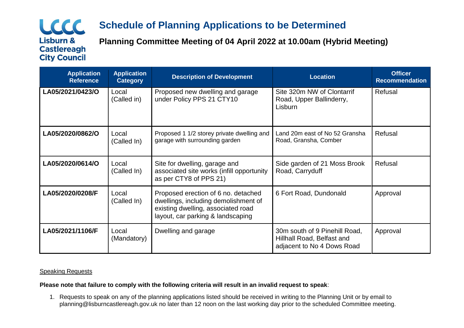# LCCC **Lisburn & Castlereagh City Council**

# **Schedule of Planning Applications to be Determined**

**Planning Committee Meeting of 04 April 2022 at 10.00am (Hybrid Meeting)**

| <b>Application</b><br><b>Reference</b> | <b>Application</b><br><b>Category</b> | <b>Description of Development</b>                                                                                                                      | <b>Location</b>                                                                           | <b>Officer</b><br><b>Recommendation</b> |
|----------------------------------------|---------------------------------------|--------------------------------------------------------------------------------------------------------------------------------------------------------|-------------------------------------------------------------------------------------------|-----------------------------------------|
| LA05/2021/0423/O                       | Local<br>(Called in)                  | Proposed new dwelling and garage<br>under Policy PPS 21 CTY10                                                                                          | Site 320m NW of Clontarrif<br>Road, Upper Ballinderry,<br>Lisburn                         | Refusal                                 |
| LA05/2020/0862/O                       | Local<br>(Called In)                  | Proposed 1 1/2 storey private dwelling and<br>garage with surrounding garden                                                                           | Land 20m east of No 52 Gransha<br>Road, Gransha, Comber                                   | Refusal                                 |
| LA05/2020/0614/O                       | Local<br>(Called In)                  | Site for dwelling, garage and<br>associated site works (infill opportunity<br>as per CTY8 of PPS 21)                                                   | Side garden of 21 Moss Brook<br>Road, Carryduff                                           | Refusal                                 |
| LA05/2020/0208/F                       | Local<br>(Called In)                  | Proposed erection of 6 no. detached<br>dwellings, including demolishment of<br>existing dwelling, associated road<br>layout, car parking & landscaping | 6 Fort Road, Dundonald                                                                    | Approval                                |
| LA05/2021/1106/F                       | Local<br>(Mandatory)                  | Dwelling and garage                                                                                                                                    | 30m south of 9 Pinehill Road,<br>Hillhall Road, Belfast and<br>adjacent to No 4 Dows Road | Approval                                |

## **Speaking Requests**

## **Please note that failure to comply with the following criteria will result in an invalid request to speak**:

1. Requests to speak on any of the planning applications listed should be received in writing to the Planning Unit or by email to planning@lisburncastlereagh.gov.uk no later than 12 noon on the last working day prior to the scheduled Committee meeting.